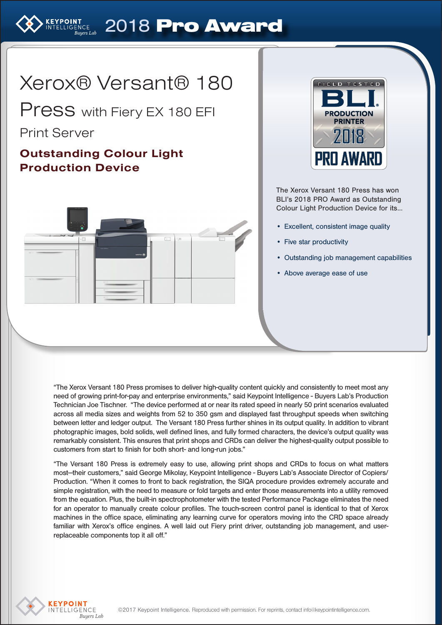# ELLIGENCE 2018 Pro Award

# Xerox® Versant® 180

Press with Fiery EX 180 EFI

# Print Server

# Outstanding Colour Light Production Device





The Xerox Versant 180 Press has won BLI's 2018 PRO Award as Outstanding Colour Light Production Device for its...

- Excellent, consistent image quality
- Five star productivity
- Outstanding job management capabilities
- Above average ease of use

"The Xerox Versant 180 Press promises to deliver high-quality content quickly and consistently to meet most any need of growing print-for-pay and enterprise environments," said Keypoint Intelligence - Buyers Lab's Production Technician Joe Tischner. "The device performed at or near its rated speed in nearly 50 print scenarios evaluated across all media sizes and weights from 52 to 350 gsm and displayed fast throughput speeds when switching between letter and ledger output. The Versant 180 Press further shines in its output quality. In addition to vibrant photographic images, bold solids, well defined lines, and fully formed characters, the device's output quality was remarkably consistent. This ensures that print shops and CRDs can deliver the highest-quality output possible to customers from start to finish for both short- and long-run jobs."

"The Versant 180 Press is extremely easy to use, allowing print shops and CRDs to focus on what matters most—their customers," said George Mikolay, Keypoint Intelligence - Buyers Lab's Associate Director of Copiers/ Production. "When it comes to front to back registration, the SIQA procedure provides extremely accurate and simple registration, with the need to measure or fold targets and enter those measurements into a utility removed from the equation. Plus, the built-in spectrophotometer with the tested Performance Package eliminates the need for an operator to manually create colour profiles. The touch-screen control panel is identical to that of Xerox machines in the office space, eliminating any learning curve for operators moving into the CRD space already familiar with Xerox's office engines. A well laid out Fiery print driver, outstanding job management, and userreplaceable components top it all off."